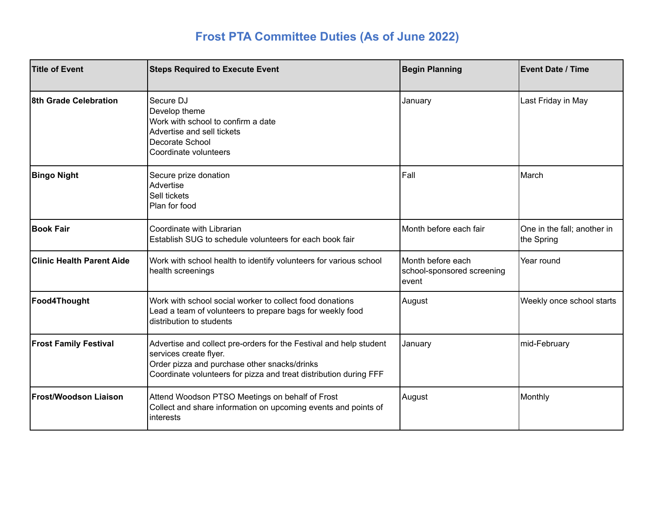## **Frost PTA Committee Duties (As of June 2022)**

| <b>Title of Event</b>            | <b>Steps Required to Execute Event</b>                                                                                                                                                                            | <b>Begin Planning</b>                                    | <b>Event Date / Time</b>                  |
|----------------------------------|-------------------------------------------------------------------------------------------------------------------------------------------------------------------------------------------------------------------|----------------------------------------------------------|-------------------------------------------|
| 8th Grade Celebration            | Secure DJ<br>Develop theme<br>Work with school to confirm a date<br>Advertise and sell tickets<br>Decorate School<br>Coordinate volunteers                                                                        | January                                                  | Last Friday in May                        |
| <b>Bingo Night</b>               | Secure prize donation<br>Advertise<br>Sell tickets<br>Plan for food                                                                                                                                               | Fall                                                     | March                                     |
| <b>Book Fair</b>                 | Coordinate with Librarian<br>Establish SUG to schedule volunteers for each book fair                                                                                                                              | Month before each fair                                   | One in the fall; another in<br>the Spring |
| <b>Clinic Health Parent Aide</b> | Work with school health to identify volunteers for various school<br>health screenings                                                                                                                            | Month before each<br>school-sponsored screening<br>event | Year round                                |
| Food4Thought                     | Work with school social worker to collect food donations<br>Lead a team of volunteers to prepare bags for weekly food<br>distribution to students                                                                 | August                                                   | Weekly once school starts                 |
| <b>Frost Family Festival</b>     | Advertise and collect pre-orders for the Festival and help student<br>services create flyer.<br>Order pizza and purchase other snacks/drinks<br>Coordinate volunteers for pizza and treat distribution during FFF | January                                                  | mid-February                              |
| <b>Frost/Woodson Liaison</b>     | Attend Woodson PTSO Meetings on behalf of Frost<br>Collect and share information on upcoming events and points of<br>interests                                                                                    | August                                                   | Monthly                                   |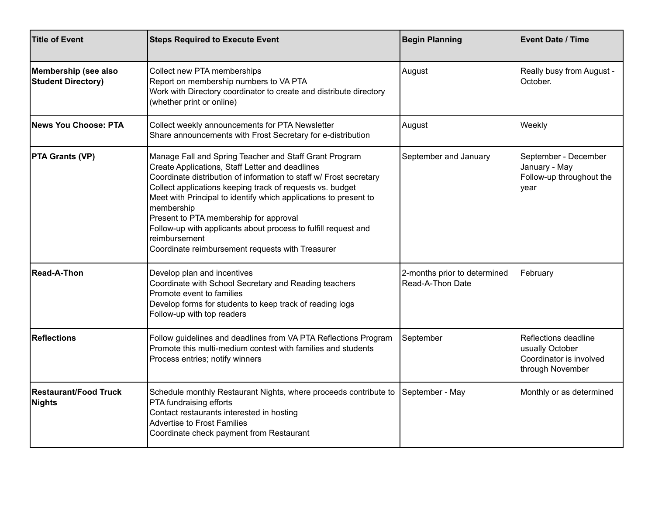| <b>Title of Event</b>                             | <b>Steps Required to Execute Event</b>                                                                                                                                                                                                                                                                                                                                                                                                                                                                          | <b>Begin Planning</b>                            | <b>Event Date / Time</b>                                                               |
|---------------------------------------------------|-----------------------------------------------------------------------------------------------------------------------------------------------------------------------------------------------------------------------------------------------------------------------------------------------------------------------------------------------------------------------------------------------------------------------------------------------------------------------------------------------------------------|--------------------------------------------------|----------------------------------------------------------------------------------------|
| Membership (see also<br><b>Student Directory)</b> | Collect new PTA memberships<br>Report on membership numbers to VA PTA<br>Work with Directory coordinator to create and distribute directory<br>(whether print or online)                                                                                                                                                                                                                                                                                                                                        | August                                           | Really busy from August -<br>October.                                                  |
| News You Choose: PTA                              | Collect weekly announcements for PTA Newsletter<br>Share announcements with Frost Secretary for e-distribution                                                                                                                                                                                                                                                                                                                                                                                                  | August                                           | Weekly                                                                                 |
| <b>PTA Grants (VP)</b>                            | Manage Fall and Spring Teacher and Staff Grant Program<br>Create Applications, Staff Letter and deadlines<br>Coordinate distribution of information to staff w/ Frost secretary<br>Collect applications keeping track of requests vs. budget<br>Meet with Principal to identify which applications to present to<br>membership<br>Present to PTA membership for approval<br>Follow-up with applicants about process to fulfill request and<br>reimbursement<br>Coordinate reimbursement requests with Treasurer | September and January                            | September - December<br>January - May<br>Follow-up throughout the<br>year              |
| <b>Read-A-Thon</b>                                | Develop plan and incentives<br>Coordinate with School Secretary and Reading teachers<br>Promote event to families<br>Develop forms for students to keep track of reading logs<br>Follow-up with top readers                                                                                                                                                                                                                                                                                                     | 2-months prior to determined<br>Read-A-Thon Date | February                                                                               |
| <b>Reflections</b>                                | Follow guidelines and deadlines from VA PTA Reflections Program<br>Promote this multi-medium contest with families and students<br>Process entries; notify winners                                                                                                                                                                                                                                                                                                                                              | September                                        | Reflections deadline<br>usually October<br>Coordinator is involved<br>through November |
| <b>Restaurant/Food Truck</b><br><b>Nights</b>     | Schedule monthly Restaurant Nights, where proceeds contribute to<br>PTA fundraising efforts<br>Contact restaurants interested in hosting<br><b>Advertise to Frost Families</b><br>Coordinate check payment from Restaurant                                                                                                                                                                                                                                                                                      | September - May                                  | Monthly or as determined                                                               |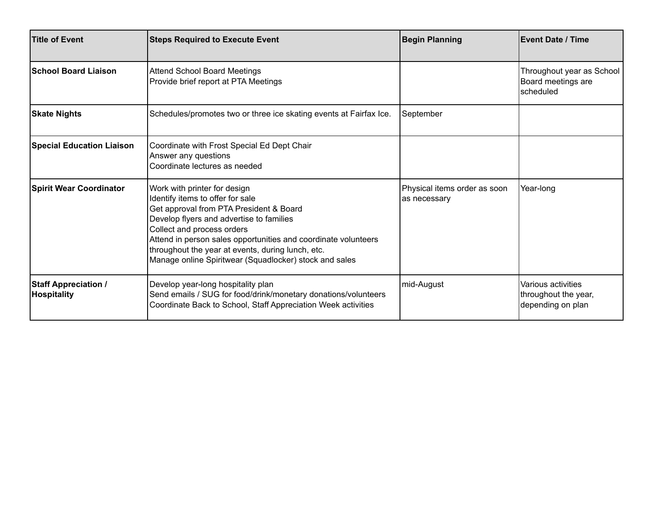| Title of Event                                    | <b>Steps Required to Execute Event</b>                                                                                                                                                                                                                                                                                                                                 | <b>Begin Planning</b>                        | <b>Event Date / Time</b>                                        |
|---------------------------------------------------|------------------------------------------------------------------------------------------------------------------------------------------------------------------------------------------------------------------------------------------------------------------------------------------------------------------------------------------------------------------------|----------------------------------------------|-----------------------------------------------------------------|
| <b>School Board Liaison</b>                       | <b>Attend School Board Meetings</b><br>Provide brief report at PTA Meetings                                                                                                                                                                                                                                                                                            |                                              | Throughout year as School<br>Board meetings are<br>scheduled    |
| <b>Skate Nights</b>                               | Schedules/promotes two or three ice skating events at Fairfax Ice.                                                                                                                                                                                                                                                                                                     | September                                    |                                                                 |
| <b>Special Education Liaison</b>                  | Coordinate with Frost Special Ed Dept Chair<br>Answer any questions<br>Coordinate lectures as needed                                                                                                                                                                                                                                                                   |                                              |                                                                 |
| <b>Spirit Wear Coordinator</b>                    | Work with printer for design<br>Identify items to offer for sale<br>Get approval from PTA President & Board<br>Develop flyers and advertise to families<br>Collect and process orders<br>Attend in person sales opportunities and coordinate volunteers<br>throughout the year at events, during lunch, etc.<br>Manage online Spiritwear (Squadlocker) stock and sales | Physical items order as soon<br>as necessary | Year-long                                                       |
| <b>Staff Appreciation /</b><br><b>Hospitality</b> | Develop year-long hospitality plan<br>Send emails / SUG for food/drink/monetary donations/volunteers<br>Coordinate Back to School, Staff Appreciation Week activities                                                                                                                                                                                                  | mid-August                                   | Various activities<br>throughout the year,<br>depending on plan |